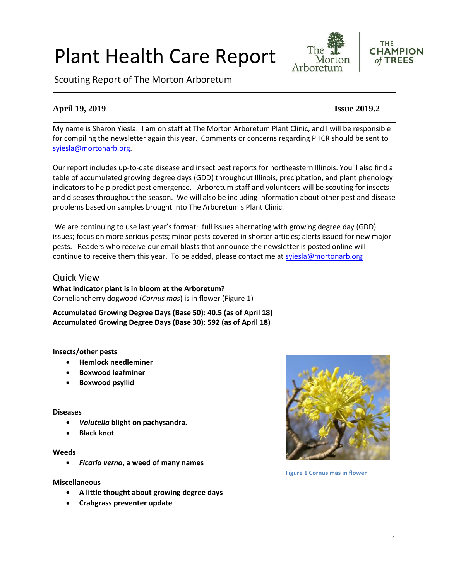# Plant Health Care Report

Scouting Report of The Morton Arboretum

# **April 19, 2019 Issue 2019.2**

My name is Sharon Yiesla. I am on staff at The Morton Arboretum Plant Clinic, and I will be responsible for compiling the newsletter again this year. Comments or concerns regarding PHCR should be sent to [syiesla@mortonarb.org.](mailto:syiesla@mortonarb.org)

Our report includes up-to-date disease and insect pest reports for northeastern Illinois. You'll also find a table of accumulated growing degree days (GDD) throughout Illinois, precipitation, and plant phenology indicators to help predict pest emergence. Arboretum staff and volunteers will be scouting for insects and diseases throughout the season. We will also be including information about other pest and disease problems based on samples brought into The Arboretum's Plant Clinic.

We are continuing to use last year's format: full issues alternating with growing degree day (GDD) issues; focus on more serious pests; minor pests covered in shorter articles; alerts issued for new major pests. Readers who receive our email blasts that announce the newsletter is posted online will continue to receive them this year. To be added, please contact me at [syiesla@mortonarb.org](mailto:syiesla@mortonarb.org)

# Quick View

**What indicator plant is in bloom at the Arboretum?** Corneliancherry dogwood (*Cornus mas*) is in flower (Figure 1)

**Accumulated Growing Degree Days (Base 50): 40.5 (as of April 18) Accumulated Growing Degree Days (Base 30): 592 (as of April 18)**

# **Insects/other pests**

- **Hemlock needleminer**
- **Boxwood leafminer**
- **Boxwood psyllid**

#### **Diseases**

- *Volutella* **blight on pachysandra.**
- **Black knot**

#### **Weeds**

• *Ficaria verna***, a weed of many names**

#### **Miscellaneous**

- **A little thought about growing degree days**
- **Crabgrass preventer update**



**Figure 1 Cornus mas in flower**

**\_\_\_\_\_\_\_\_\_\_\_\_\_\_\_\_\_\_\_\_\_\_\_\_\_\_\_\_\_\_\_\_\_\_\_\_\_\_\_\_\_\_\_\_\_\_\_\_\_\_\_\_\_\_\_\_\_\_\_\_\_\_\_\_\_\_\_\_\_\_\_\_\_\_\_\_\_\_**

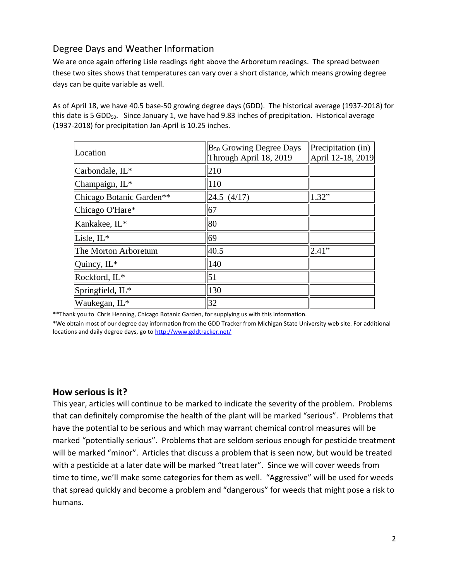# Degree Days and Weather Information

We are once again offering Lisle readings right above the Arboretum readings. The spread between these two sites shows that temperatures can vary over a short distance, which means growing degree days can be quite variable as well.

As of April 18, we have 40.5 base-50 growing degree days (GDD). The historical average (1937-2018) for this date is 5 GDD<sub>50</sub>. Since January 1, we have had 9.83 inches of precipitation. Historical average (1937-2018) for precipitation Jan-April is 10.25 inches.

| Location                 | $\mathbb{B}_{50}$ Growing Degree Days<br>Through April 18, 2019 | Precipitation (in)<br>April 12-18, 2019 |
|--------------------------|-----------------------------------------------------------------|-----------------------------------------|
| Carbondale, IL*          | 210                                                             |                                         |
| Champaign, IL*           | 110                                                             |                                         |
| Chicago Botanic Garden** | $\parallel$ 24.5 (4/17)                                         | 1.32"                                   |
| Chicago O'Hare*          | 67                                                              |                                         |
| Kankakee, IL*            | 80                                                              |                                         |
| Lisle, IL*               | 69                                                              |                                         |
| The Morton Arboretum     | 40.5                                                            | 2.41"                                   |
| Quincy, $IL^*$           | 140                                                             |                                         |
| Rockford, IL*            | 51                                                              |                                         |
| Springfield, IL*         | 130                                                             |                                         |
| Waukegan, IL*            | 32                                                              |                                         |

\*\*Thank you to Chris Henning, Chicago Botanic Garden, for supplying us with this information.

\*We obtain most of our degree day information from the GDD Tracker from Michigan State University web site. For additional locations and daily degree days, go t[o http://www.gddtracker.net/](http://www.gddtracker.net/)

# **How serious is it?**

This year, articles will continue to be marked to indicate the severity of the problem. Problems that can definitely compromise the health of the plant will be marked "serious".Problems that have the potential to be serious and which may warrant chemical control measures will be marked "potentially serious". Problems that are seldom serious enough for pesticide treatment will be marked "minor". Articles that discuss a problem that is seen now, but would be treated with a pesticide at a later date will be marked "treat later". Since we will cover weeds from time to time, we'll make some categories for them as well. "Aggressive" will be used for weeds that spread quickly and become a problem and "dangerous" for weeds that might pose a risk to humans.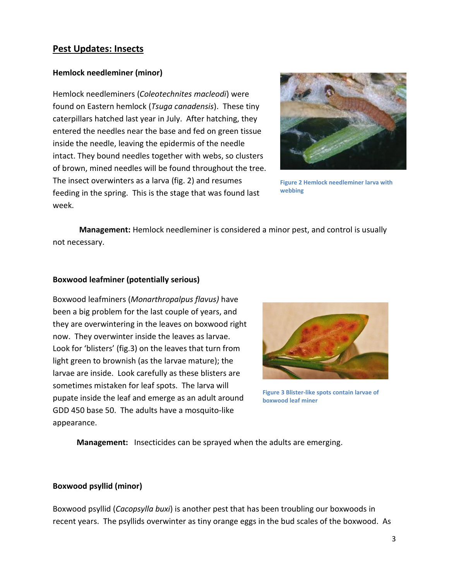# **Pest Updates: Insects**

# **Hemlock needleminer (minor)**

Hemlock needleminers (*Coleotechnites macleodi*) were found on Eastern hemlock (*Tsuga canadensis*). These tiny caterpillars hatched last year in July. After hatching, they entered the needles near the base and fed on green tissue inside the needle, leaving the epidermis of the needle intact. They bound needles together with webs, so clusters of brown, mined needles will be found throughout the tree. The insect overwinters as a larva (fig. 2) and resumes feeding in the spring. This is the stage that was found last week.



**Figure 2 Hemlock needleminer larva with webbing**

**Management:** Hemlock needleminer is considered a minor pest, and control is usually not necessary.

# **Boxwood leafminer (potentially serious)**

Boxwood leafminers (*Monarthropalpus flavus)* have been a big problem for the last couple of years, and they are overwintering in the leaves on boxwood right now. They overwinter inside the leaves as larvae. Look for 'blisters' (fig.3) on the leaves that turn from light green to brownish (as the larvae mature); the larvae are inside. Look carefully as these blisters are sometimes mistaken for leaf spots. The larva will pupate inside the leaf and emerge as an adult around GDD 450 base 50. The adults have a mosquito-like appearance.



**Figure 3 Blister-like spots contain larvae of boxwood leaf miner**

**Management:** Insecticides can be sprayed when the adults are emerging.

# **Boxwood psyllid (minor)**

Boxwood psyllid (*Cacopsylla buxi*) is another pest that has been troubling our boxwoods in recent years. The psyllids overwinter as tiny orange eggs in the bud scales of the boxwood. As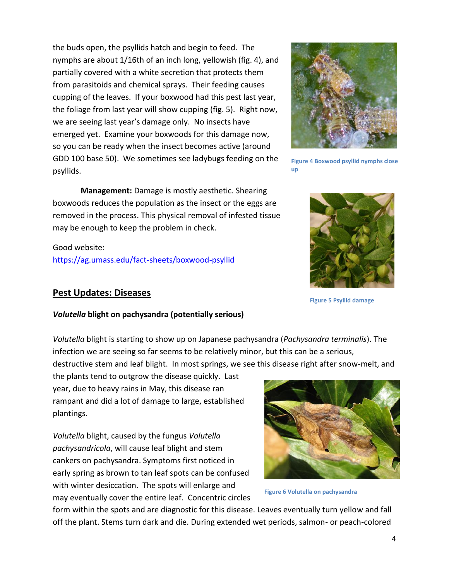the buds open, the psyllids hatch and begin to feed. The nymphs are about 1/16th of an inch long, yellowish (fig. 4), and partially covered with a white secretion that protects them from parasitoids and chemical sprays. Their feeding causes cupping of the leaves. If your boxwood had this pest last year, the foliage from last year will show cupping (fig. 5). Right now, we are seeing last year's damage only. No insects have emerged yet. Examine your boxwoods for this damage now, so you can be ready when the insect becomes active (around GDD 100 base 50). We sometimes see ladybugs feeding on the psyllids.



removed in the process. This physical removal of infested tissue may be enough to keep the problem in check.

Good website: <https://ag.umass.edu/fact-sheets/boxwood-psyllid>

# **Pest Updates: Diseases**

**Figure 4 Boxwood psyllid nymphs close** 



**Figure 5 Psyllid damage**

# *Volutella* **blight on pachysandra (potentially serious)**

*Volutella* blight is starting to show up on Japanese pachysandra (*Pachysandra terminalis*). The infection we are seeing so far seems to be relatively minor, but this can be a serious,

destructive stem and leaf blight. In most springs, we see this disease right after snow-melt, and

the plants tend to outgrow the disease quickly. Last year, due to heavy rains in May, this disease ran rampant and did a lot of damage to large, established plantings.

*Volutella* blight, caused by the fungus *Volutella pachysandricola*, will cause leaf blight and stem cankers on pachysandra. Symptoms first noticed in early spring as brown to tan leaf spots can be confused with winter desiccation. The spots will enlarge and may eventually cover the entire leaf. Concentric circles



**Figure 6 Volutella on pachysandra**

form within the spots and are diagnostic for this disease. Leaves eventually turn yellow and fall off the plant. Stems turn dark and die. During extended wet periods, salmon- or peach-colored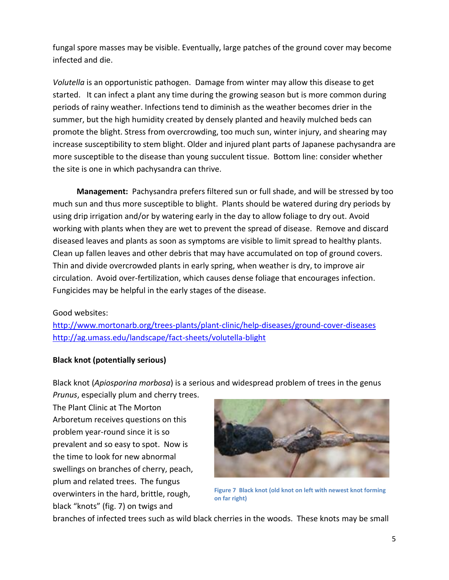fungal spore masses may be visible. Eventually, large patches of the ground cover may become infected and die.

*Volutella* is an opportunistic pathogen. Damage from winter may allow this disease to get started. It can infect a plant any time during the growing season but is more common during periods of rainy weather. Infections tend to diminish as the weather becomes drier in the summer, but the high humidity created by densely planted and heavily mulched beds can promote the blight. Stress from overcrowding, too much sun, winter injury, and shearing may increase susceptibility to stem blight. Older and injured plant parts of Japanese pachysandra are more susceptible to the disease than young succulent tissue. Bottom line: consider whether the site is one in which pachysandra can thrive.

 **Management:** Pachysandra prefers filtered sun or full shade, and will be stressed by too much sun and thus more susceptible to blight. Plants should be watered during dry periods by using drip irrigation and/or by watering early in the day to allow foliage to dry out. Avoid working with plants when they are wet to prevent the spread of disease. Remove and discard diseased leaves and plants as soon as symptoms are visible to limit spread to healthy plants. Clean up fallen leaves and other debris that may have accumulated on top of ground covers. Thin and divide overcrowded plants in early spring, when weather is dry, to improve air circulation. Avoid over-fertilization, which causes dense foliage that encourages infection. Fungicides may be helpful in the early stages of the disease.

# Good websites:

<http://www.mortonarb.org/trees-plants/plant-clinic/help-diseases/ground-cover-diseases> <http://ag.umass.edu/landscape/fact-sheets/volutella-blight>

# **Black knot (potentially serious)**

Black knot (*Apiosporina morbosa*) is a serious and widespread problem of trees in the genus *Prunus*, especially plum and cherry trees.

The Plant Clinic at The Morton Arboretum receives questions on this problem year-round since it is so prevalent and so easy to spot. Now is the time to look for new abnormal swellings on branches of cherry, peach, plum and related trees. The fungus overwinters in the hard, brittle, rough, black "knots" (fig. 7) on twigs and



**Figure 7 Black knot (old knot on left with newest knot forming on far right)**

branches of infected trees such as wild black cherries in the woods. These knots may be small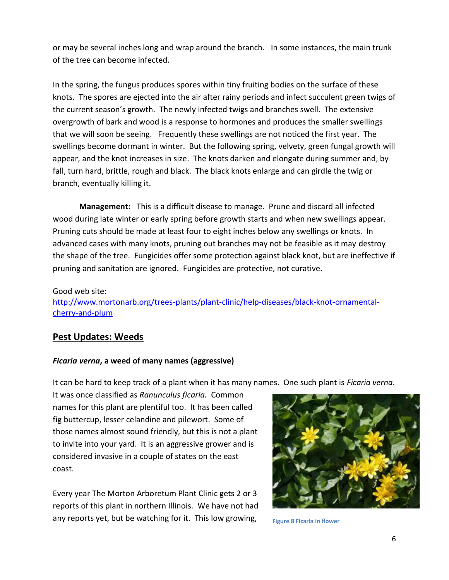or may be several inches long and wrap around the branch. In some instances, the main trunk of the tree can become infected.

In the spring, the fungus produces spores within tiny fruiting bodies on the surface of these knots. The spores are ejected into the air after rainy periods and infect succulent green twigs of the current season's growth. The newly infected twigs and branches swell. The extensive overgrowth of bark and wood is a response to hormones and produces the smaller swellings that we will soon be seeing. Frequently these swellings are not noticed the first year. The swellings become dormant in winter. But the following spring, velvety, green fungal growth will appear, and the knot increases in size. The knots darken and elongate during summer and, by fall, turn hard, brittle, rough and black. The black knots enlarge and can girdle the twig or branch, eventually killing it.

**Management:** This is a difficult disease to manage. Prune and discard all infected wood during late winter or early spring before growth starts and when new swellings appear. Pruning cuts should be made at least four to eight inches below any swellings or knots. In advanced cases with many knots, pruning out branches may not be feasible as it may destroy the shape of the tree. Fungicides offer some protection against black knot, but are ineffective if pruning and sanitation are ignored. Fungicides are protective, not curative.

Good web site: [http://www.mortonarb.org/trees-plants/plant-clinic/help-diseases/black-knot-ornamental](http://www.mortonarb.org/trees-plants/plant-clinic/help-diseases/black-knot-ornamental-cherry-and-plum)[cherry-and-plum](http://www.mortonarb.org/trees-plants/plant-clinic/help-diseases/black-knot-ornamental-cherry-and-plum)

# **Pest Updates: Weeds**

# *Ficaria verna***, a weed of many names (aggressive)**

It can be hard to keep track of a plant when it has many names. One such plant is *Ficaria verna*.

It was once classified as *Ranunculus ficaria.* Common names for this plant are plentiful too. It has been called fig buttercup, lesser celandine and pilewort. Some of those names almost sound friendly, but this is not a plant to invite into your yard. It is an aggressive grower and is considered invasive in a couple of states on the east coast.

Every year The Morton Arboretum Plant Clinic gets 2 or 3 reports of this plant in northern Illinois. We have not had any reports yet, but be watching for it. This low growing,



**Figure 8 Ficaria in flower**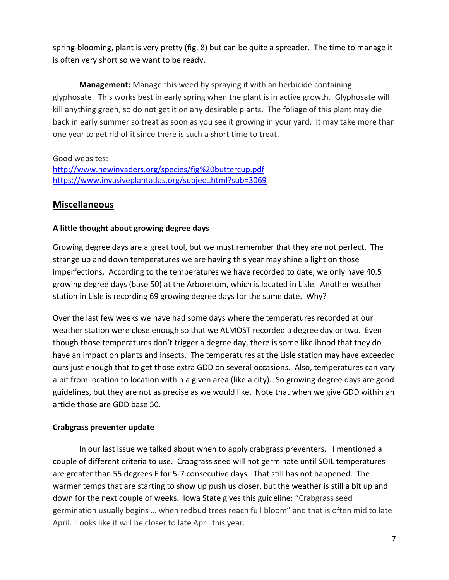spring-blooming, plant is very pretty (fig. 8) but can be quite a spreader. The time to manage it is often very short so we want to be ready.

**Management:** Manage this weed by spraying it with an herbicide containing glyphosate. This works best in early spring when the plant is in active growth. Glyphosate will kill anything green, so do not get it on any desirable plants. The foliage of this plant may die back in early summer so treat as soon as you see it growing in your yard. It may take more than one year to get rid of it since there is such a short time to treat.

Good websites: <http://www.newinvaders.org/species/fig%20buttercup.pdf> <https://www.invasiveplantatlas.org/subject.html?sub=3069>

# **Miscellaneous**

# **A little thought about growing degree days**

Growing degree days are a great tool, but we must remember that they are not perfect. The strange up and down temperatures we are having this year may shine a light on those imperfections. According to the temperatures we have recorded to date, we only have 40.5 growing degree days (base 50) at the Arboretum, which is located in Lisle. Another weather station in Lisle is recording 69 growing degree days for the same date. Why?

Over the last few weeks we have had some days where the temperatures recorded at our weather station were close enough so that we ALMOST recorded a degree day or two. Even though those temperatures don't trigger a degree day, there is some likelihood that they do have an impact on plants and insects. The temperatures at the Lisle station may have exceeded ours just enough that to get those extra GDD on several occasions. Also, temperatures can vary a bit from location to location within a given area (like a city). So growing degree days are good guidelines, but they are not as precise as we would like. Note that when we give GDD within an article those are GDD base 50.

# **Crabgrass preventer update**

In our last issue we talked about when to apply crabgrass preventers. I mentioned a couple of different criteria to use. Crabgrass seed will not germinate until SOIL temperatures are greater than 55 degrees F for 5-7 consecutive days. That still has not happened. The warmer temps that are starting to show up push us closer, but the weather is still a bit up and down for the next couple of weeks. Iowa State gives this guideline: "Crabgrass seed germination usually begins … when redbud trees reach full bloom" and that is often mid to late April. Looks like it will be closer to late April this year.